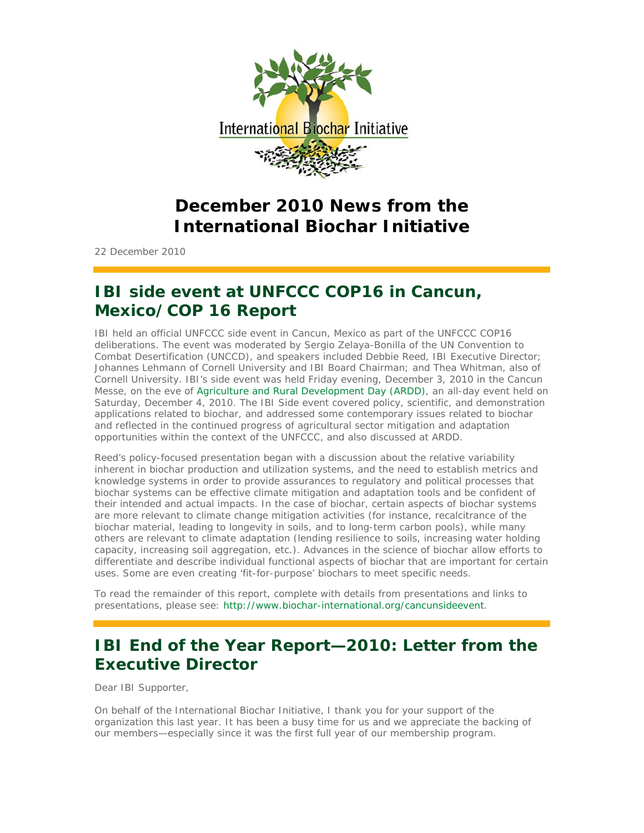

# **December 2010 News from the International Biochar Initiative**

22 December 2010

## **IBI side event at UNFCCC COP16 in Cancun, Mexico/COP 16 Report**

IBI held an official UNFCCC side event in Cancun, Mexico as part of the UNFCCC COP16 deliberations. The event was moderated by Sergio Zelaya-Bonilla of the UN Convention to Combat Desertification (UNCCD), and speakers included Debbie Reed, IBI Executive Director; Johannes Lehmann of Cornell University and IBI Board Chairman; and Thea Whitman, also of Cornell University. IBI's side event was held Friday evening, December 3, 2010 in the Cancun Messe, on the eve of Agriculture and Rural Development Day (ARDD), an all-day event held on Saturday, December 4, 2010. The IBI Side event covered policy, scientific, and demonstration applications related to biochar, and addressed some contemporary issues related to biochar and reflected in the continued progress of agricultural sector mitigation and adaptation opportunities within the context of the UNFCCC, and also discussed at ARDD.

Reed's policy-focused presentation began with a discussion about the relative variability inherent in biochar production and utilization systems, and the need to establish metrics and knowledge systems in order to provide assurances to regulatory and political processes that biochar systems can be effective climate mitigation and adaptation tools and be confident of their intended and actual impacts. In the case of biochar, certain aspects of biochar systems are more relevant to climate change mitigation activities (for instance, recalcitrance of the biochar material, leading to longevity in soils, and to long-term carbon pools), while many others are relevant to climate adaptation (lending resilience to soils, increasing water holding capacity, increasing soil aggregation, etc.). Advances in the science of biochar allow efforts to differentiate and describe individual functional aspects of biochar that are important for certain uses. Some are even creating 'fit-for-purpose' biochars to meet specific needs.

To read the remainder of this report, complete with details from presentations and links to presentations, please see: http://www.biochar-international.org/cancunsideevent.

## **IBI End of the Year Report—2010: Letter from the Executive Director**

Dear IBI Supporter,

On behalf of the International Biochar Initiative, I thank you for your support of the organization this last year. It has been a busy time for us and we appreciate the backing of our members—especially since it was the first full year of our membership program.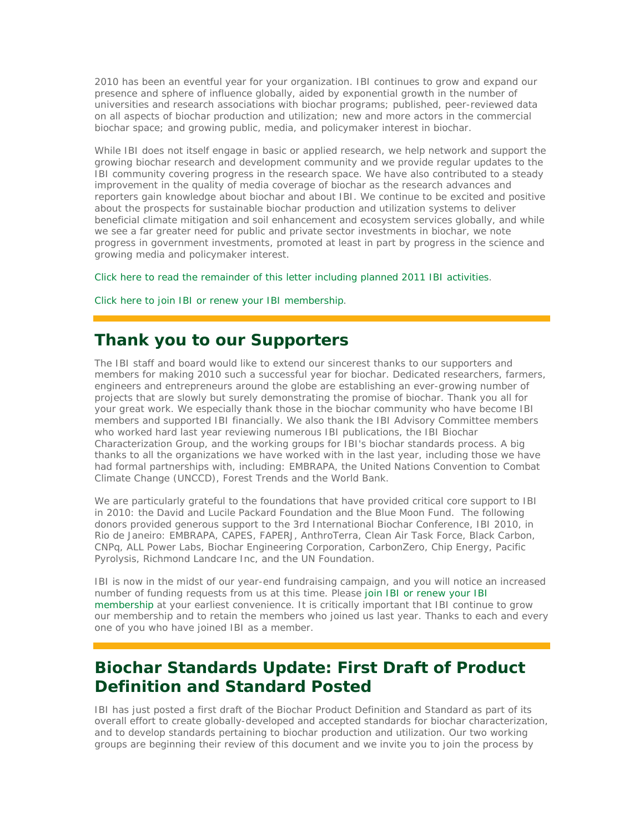2010 has been an eventful year for your organization. IBI continues to grow and expand our presence and sphere of influence globally, aided by exponential growth in the number of universities and research associations with biochar programs; published, peer-reviewed data on all aspects of biochar production and utilization; new and more actors in the commercial biochar space; and growing public, media, and policymaker interest in biochar.

While IBI does not itself engage in basic or applied research, we help network and support the growing biochar research and development community and we provide regular updates to the IBI community covering progress in the research space. We have also contributed to a steady improvement in the quality of media coverage of biochar as the research advances and reporters gain knowledge about biochar and about IBI. We continue to be excited and positive about the prospects for sustainable biochar production and utilization systems to deliver beneficial climate mitigation and soil enhancement and ecosystem services globally, and while we see a far greater need for public and private sector investments in biochar, we note progress in government investments, promoted at least in part by progress in the science and growing media and policymaker interest.

Click here to read the remainder of this letter including planned 2011 IBI activities.

Click here to join IBI or renew your IBI membership.

#### **Thank you to our Supporters**

The IBI staff and board would like to extend our sincerest thanks to our supporters and members for making 2010 such a successful year for biochar. Dedicated researchers, farmers, engineers and entrepreneurs around the globe are establishing an ever-growing number of projects that are slowly but surely demonstrating the promise of biochar. Thank you all for your great work. We especially thank those in the biochar community who have become IBI members and supported IBI financially. We also thank the IBI Advisory Committee members who worked hard last year reviewing numerous IBI publications, the IBI Biochar Characterization Group, and the working groups for IBI's biochar standards process. A big thanks to all the organizations we have worked with in the last year, including those we have had formal partnerships with, including: EMBRAPA, the United Nations Convention to Combat Climate Change (UNCCD), Forest Trends and the World Bank.

We are particularly grateful to the foundations that have provided critical core support to IBI in 2010: the David and Lucile Packard Foundation and the Blue Moon Fund. The following donors provided generous support to the 3rd International Biochar Conference, IBI 2010, in Rio de Janeiro: EMBRAPA, CAPES, FAPERJ, AnthroTerra, Clean Air Task Force, Black Carbon, CNPq, ALL Power Labs, Biochar Engineering Corporation, CarbonZero, Chip Energy, Pacific Pyrolysis, Richmond Landcare Inc, and the UN Foundation.

IBI is now in the midst of our year-end fundraising campaign, and you will notice an increased number of funding requests from us at this time. Please join IBI or renew your IBI membership at your earliest convenience. It is critically important that IBI continue to grow our membership and to retain the members who joined us last year. Thanks to each and every one of you who have joined IBI as a member.

### **Biochar Standards Update: First Draft of Product Definition and Standard Posted**

IBI has just posted a first draft of the Biochar Product Definition and Standard as part of its overall effort to create globally-developed and accepted standards for biochar characterization, and to develop standards pertaining to biochar production and utilization. Our two working groups are beginning their review of this document and we invite you to join the process by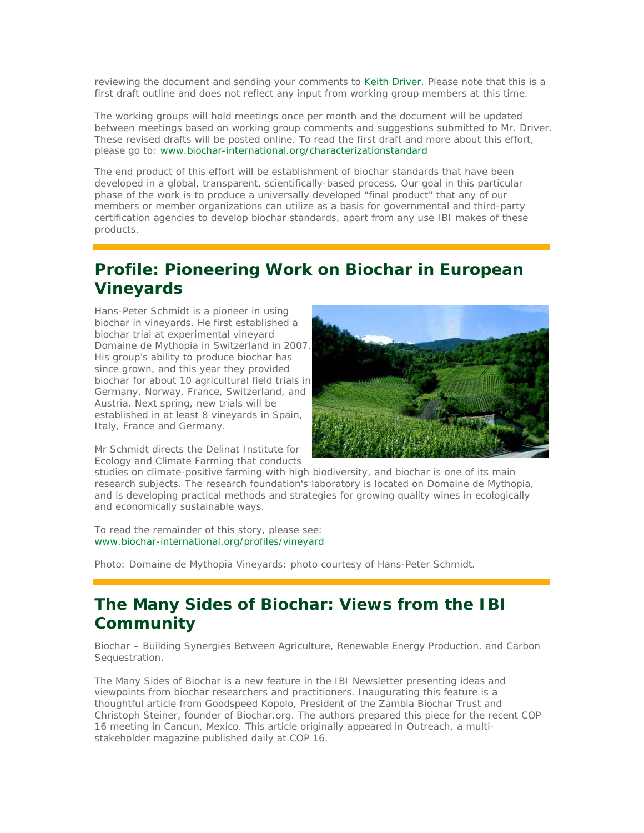reviewing the document and sending your comments to Keith Driver. Please note that this is a first draft outline and does not reflect any input from working group members at this time.

The working groups will hold meetings once per month and the document will be updated between meetings based on working group comments and suggestions submitted to Mr. Driver. These revised drafts will be posted online. To read the first draft and more about this effort, please go to: www.biochar-international.org/characterizationstandard

The end product of this effort will be establishment of biochar standards that have been developed in a global, transparent, scientifically-based process. Our goal in this particular phase of the work is to produce a universally developed "final product" that any of our members or member organizations can utilize as a basis for governmental and third-party certification agencies to develop biochar standards, apart from any use IBI makes of these products.

### **Profile: Pioneering Work on Biochar in European Vineyards**

Hans-Peter Schmidt is a pioneer in using biochar in vineyards. He first established a biochar trial at experimental vineyard Domaine de Mythopia in Switzerland in 2007. His group's ability to produce biochar has since grown, and this year they provided biochar for about 10 agricultural field trials in Germany, Norway, France, Switzerland, and Austria. Next spring, new trials will be established in at least 8 vineyards in Spain, Italy, France and Germany.



Mr Schmidt directs the Delinat Institute for Ecology and Climate Farming that conducts

studies on climate-positive farming with high biodiversity, and biochar is one of its main research subjects. The research foundation's laboratory is located on Domaine de Mythopia, and is developing practical methods and strategies for growing quality wines in ecologically and economically sustainable ways.

To read the remainder of this story, please see: www.biochar-international.org/profiles/vineyard

*Photo: Domaine de Mythopia Vineyards; photo courtesy of Hans-Peter Schmidt*.

### **The Many Sides of Biochar: Views from the IBI Community**

*Biochar – Building Synergies Between Agriculture, Renewable Energy Production, and Carbon Sequestration.* 

The Many Sides of Biochar is a new feature in the IBI Newsletter presenting ideas and viewpoints from biochar researchers and practitioners. Inaugurating this feature is a thoughtful article from Goodspeed Kopolo, President of the Zambia Biochar Trust and Christoph Steiner, founder of Biochar.org. The authors prepared this piece for the recent COP 16 meeting in Cancun, Mexico. This article originally appeared in Outreach, a multistakeholder magazine published daily at COP 16.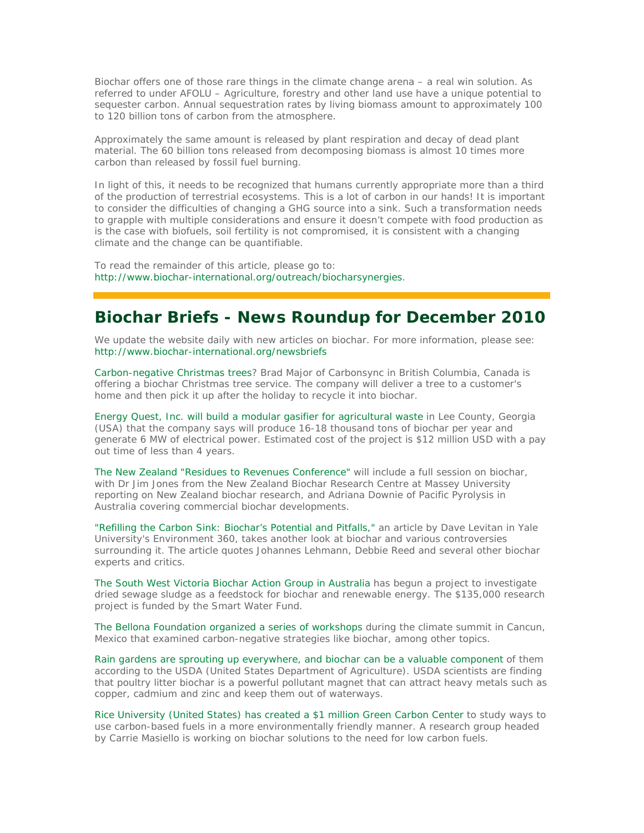Biochar offers one of those rare things in the climate change arena – a real win solution. As referred to under AFOLU – Agriculture, forestry and other land use have a unique potential to sequester carbon. Annual sequestration rates by living biomass amount to approximately 100 to 120 billion tons of carbon from the atmosphere.

Approximately the same amount is released by plant respiration and decay of dead plant material. The 60 billion tons released from decomposing biomass is almost 10 times more carbon than released by fossil fuel burning.

In light of this, it needs to be recognized that humans currently appropriate more than a third of the production of terrestrial ecosystems. This is a lot of carbon in our hands! It is important to consider the difficulties of changing a GHG source into a sink. Such a transformation needs to grapple with multiple considerations and ensure it doesn't compete with food production as is the case with biofuels, soil fertility is not compromised, it is consistent with a changing climate and the change can be quantifiable.

To read the remainder of this article, please go to: http://www.biochar-international.org/outreach/biocharsynergies.

#### **Biochar Briefs - News Roundup for December 2010**

We update the website daily with new articles on biochar. For more information, please see: http://www.biochar-international.org/newsbriefs

*Carbon-negative Christmas trees*? Brad Major of Carbonsync in British Columbia, Canada is offering a biochar Christmas tree service. The company will deliver a tree to a customer's home and then pick it up after the holiday to recycle it into biochar.

*Energy Quest, Inc. will build a modular gasifier for agricultural waste* in Lee County, Georgia (USA) that the company says will produce 16-18 thousand tons of biochar per year and generate 6 MW of electrical power. Estimated cost of the project is \$12 million USD with a pay out time of less than 4 years.

*The New Zealand "Residues to Revenues Conference"* will include a full session on biochar, with Dr Jim Jones from the New Zealand Biochar Research Centre at Massey University reporting on New Zealand biochar research, and Adriana Downie of Pacific Pyrolysis in Australia covering commercial biochar developments.

*"Refilling the Carbon Sink: Biochar's Potential and Pitfalls,"* an article by Dave Levitan in Yale University's Environment 360, takes another look at biochar and various controversies surrounding it. The article quotes Johannes Lehmann, Debbie Reed and several other biochar experts and critics.

*The South West Victoria Biochar Action Group in Australia* has begun a project to investigate dried sewage sludge as a feedstock for biochar and renewable energy. The \$135,000 research project is funded by the Smart Water Fund.

*The Bellona Foundation organized a series of workshops* during the climate summit in Cancun, Mexico that examined carbon-negative strategies like biochar, among other topics.

*Rain gardens are sprouting up everywhere, and biochar can be a valuable component* of them according to the USDA (United States Department of Agriculture). USDA scientists are finding that poultry litter biochar is a powerful pollutant magnet that can attract heavy metals such as copper, cadmium and zinc and keep them out of waterways.

*Rice University (United States) has created a \$1 million Green Carbon Center* to study ways to use carbon-based fuels in a more environmentally friendly manner. A research group headed by Carrie Masiello is working on biochar solutions to the need for low carbon fuels.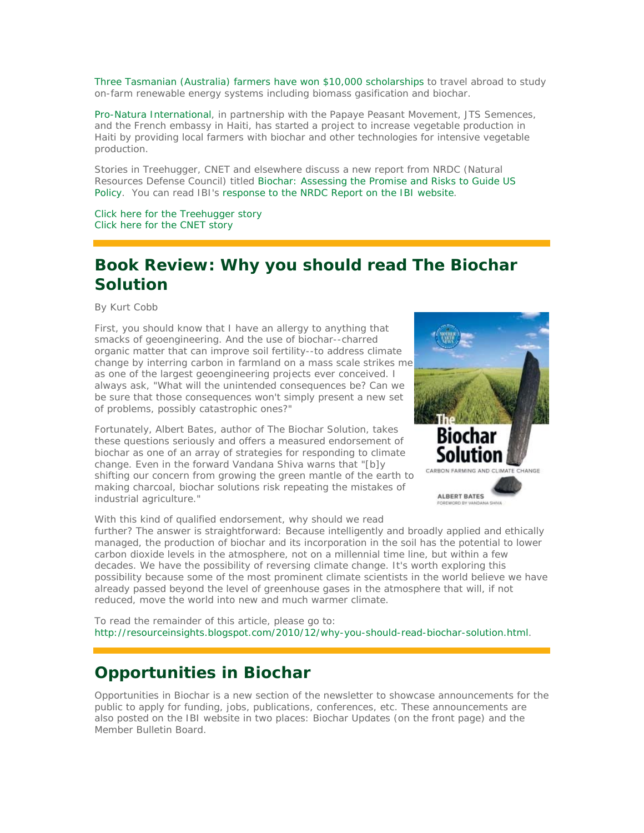*Three Tasmanian (Australia) farmers have won \$10,000 scholarships* to travel abroad to study on-farm renewable energy systems including biomass gasification and biochar.

*Pro-Natura International*, in partnership with the Papaye Peasant Movement, JTS Semences, and the French embassy in Haiti, has started a project to increase vegetable production in Haiti by providing local farmers with biochar and other technologies for intensive vegetable production.

Stories in Treehugger, CNET and elsewhere discuss a new report from NRDC (Natural Resources Defense Council) titled Biochar: Assessing the Promise and Risks to Guide US Policy. You can read IBI's response to the NRDC Report on the IBI website.

Click here for the Treehugger story Click here for the CNET story

### **Book Review: Why you should read The Biochar Solution**

*By Kurt Cobb*

First, you should know that I have an allergy to anything that smacks of geoengineering. And the use of biochar--charred organic matter that can improve soil fertility--to address climate change by interring carbon in farmland on a mass scale strikes me as one of the largest geoengineering projects ever conceived. I always ask, "What will the unintended consequences be? Can we be sure that those consequences won't simply present a new set of problems, possibly catastrophic ones?"

Fortunately, Albert Bates, author of The Biochar Solution, takes these questions seriously and offers a measured endorsement of biochar as one of an array of strategies for responding to climate change. Even in the forward Vandana Shiva warns that "[b]y shifting our concern from growing the green mantle of the earth to making charcoal, biochar solutions risk repeating the mistakes of industrial agriculture."

With this kind of qualified endorsement, why should we read



further? The answer is straightforward: Because intelligently and broadly applied and ethically managed, the production of biochar and its incorporation in the soil has the potential to lower carbon dioxide levels in the atmosphere, not on a millennial time line, but within a few decades. We have the possibility of reversing climate change. It's worth exploring this possibility because some of the most prominent climate scientists in the world believe we have already passed beyond the level of greenhouse gases in the atmosphere that will, if not reduced, move the world into new and much warmer climate.

To read the remainder of this article, please go to: http://resourceinsights.blogspot.com/2010/12/why-you-should-read-biochar-solution.html.

### **Opportunities in Biochar**

*Opportunities in Biochar* is a new section of the newsletter to showcase announcements for the public to apply for funding, jobs, publications, conferences, etc. These announcements are also posted on the IBI website in two places: Biochar Updates (on the front page) and the Member Bulletin Board.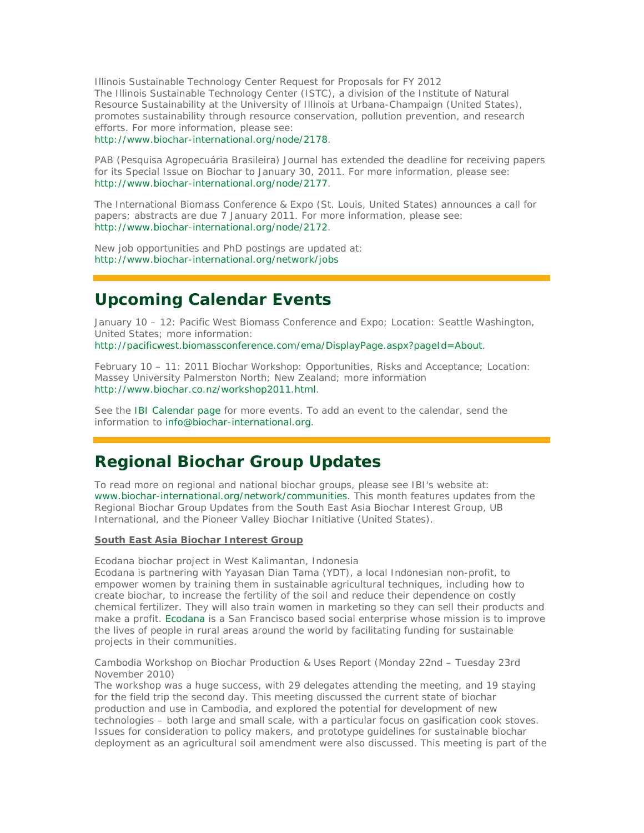*Illinois Sustainable Technology Center Request for Proposals for FY 2012* The Illinois Sustainable Technology Center (ISTC), a division of the Institute of Natural Resource Sustainability at the University of Illinois at Urbana-Champaign (United States), promotes sustainability through resource conservation, pollution prevention, and research efforts. For more information, please see:

http://www.biochar-international.org/node/2178.

*PAB (Pesquisa Agropecuária Brasileira) Journal* has extended the deadline for receiving papers for its Special Issue on Biochar to January 30, 2011. For more information, please see: http://www.biochar-international.org/node/2177.

*The International Biomass Conference & Expo* (St. Louis, United States) announces a call for papers; abstracts are due 7 January 2011. For more information, please see: http://www.biochar-international.org/node/2172.

New job opportunities and PhD postings are updated at: http://www.biochar-international.org/network/jobs

### **Upcoming Calendar Events**

January 10 – 12: Pacific West Biomass Conference and Expo; Location: Seattle Washington, United States; more information:

http://pacificwest.biomassconference.com/ema/DisplayPage.aspx?pageId=About.

February 10 – 11: 2011 Biochar Workshop: Opportunities, Risks and Acceptance; Location: Massey University Palmerston North; New Zealand; more information http://www.biochar.co.nz/workshop2011.html.

See the IBI Calendar page for more events. To add an event to the calendar, send the information to info@biochar-international.org.

### **Regional Biochar Group Updates**

To read more on regional and national biochar groups, please see IBI's website at: www.biochar-international.org/network/communities. This month features updates from the Regional Biochar Group Updates from the South East Asia Biochar Interest Group, UB International, and the Pioneer Valley Biochar Initiative (United States).

#### **South East Asia Biochar Interest Group**

#### *Ecodana biochar project in West Kalimantan, Indonesia*

Ecodana is partnering with Yayasan Dian Tama (YDT), a local Indonesian non-profit, to empower women by training them in sustainable agricultural techniques, including how to create biochar, to increase the fertility of the soil and reduce their dependence on costly chemical fertilizer. They will also train women in marketing so they can sell their products and make a profit. Ecodana is a San Francisco based social enterprise whose mission is to improve the lives of people in rural areas around the world by facilitating funding for sustainable projects in their communities.

#### *Cambodia Workshop on Biochar Production & Uses Report (Monday 22nd – Tuesday 23rd November 2010)*

The workshop was a huge success, with 29 delegates attending the meeting, and 19 staying for the field trip the second day. This meeting discussed the current state of biochar production and use in Cambodia, and explored the potential for development of new technologies – both large and small scale, with a particular focus on gasification cook stoves. Issues for consideration to policy makers, and prototype guidelines for sustainable biochar deployment as an agricultural soil amendment were also discussed. This meeting is part of the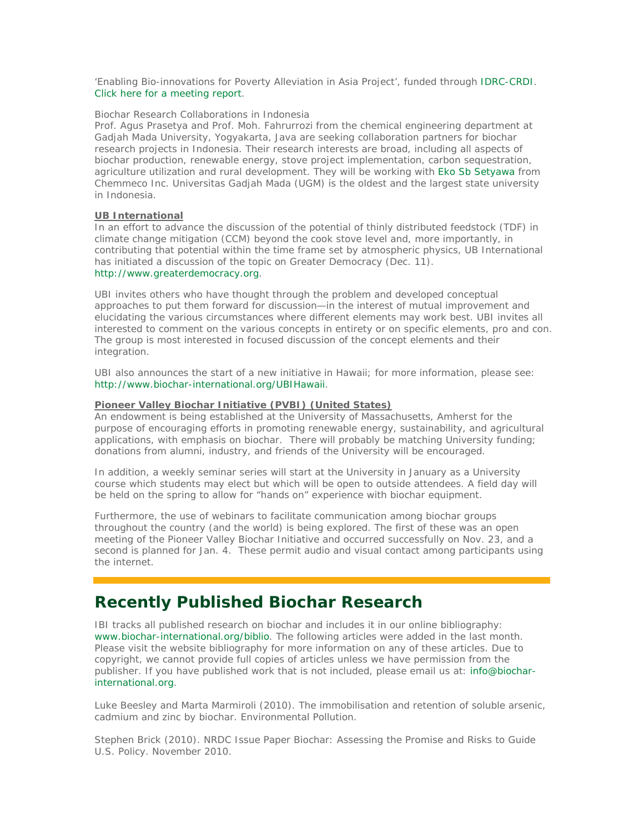'Enabling Bio-innovations for Poverty Alleviation in Asia Project', funded through IDRC-CRDI. Click here for a meeting report.

#### *Biochar Research Collaborations in Indonesia*

Prof. Agus Prasetya and Prof. Moh. Fahrurrozi from the chemical engineering department at Gadjah Mada University, Yogyakarta, Java are seeking collaboration partners for biochar research projects in Indonesia. Their research interests are broad, including all aspects of biochar production, renewable energy, stove project implementation, carbon sequestration, agriculture utilization and rural development. They will be working with Eko Sb Setyawa from Chemmeco Inc. Universitas Gadjah Mada (UGM) is the oldest and the largest state university in Indonesia.

#### **UB International**

In an effort to advance the discussion of the potential of thinly distributed feedstock (TDF) in climate change mitigation (CCM) beyond the cook stove level and, more importantly, in contributing that potential within the time frame set by atmospheric physics, UB International has initiated a discussion of the topic on Greater Democracy (Dec. 11).

#### http://www.greaterdemocracy.org.

UBI invites others who have thought through the problem and developed conceptual approaches to put them forward for discussion—in the interest of mutual improvement and elucidating the various circumstances where different elements may work best. UBI invites all interested to comment on the various concepts in entirety or on specific elements, pro and con. The group is most interested in focused discussion of the concept elements and their integration.

UBI also announces the start of a new initiative in Hawaii; for more information, please see: http://www.biochar-international.org/UBIHawaii.

#### **Pioneer Valley Biochar Initiative (PVBI) (United States)**

An endowment is being established at the University of Massachusetts, Amherst for the purpose of encouraging efforts in promoting renewable energy, sustainability, and agricultural applications, with emphasis on biochar. There will probably be matching University funding; donations from alumni, industry, and friends of the University will be encouraged.

In addition, a weekly seminar series will start at the University in January as a University course which students may elect but which will be open to outside attendees. A field day will be held on the spring to allow for "hands on" experience with biochar equipment.

Furthermore, the use of webinars to facilitate communication among biochar groups throughout the country (and the world) is being explored. The first of these was an open meeting of the Pioneer Valley Biochar Initiative and occurred successfully on Nov. 23, and a second is planned for Jan. 4. These permit audio and visual contact among participants using the internet.

#### **Recently Published Biochar Research**

IBI tracks all published research on biochar and includes it in our online bibliography: www.biochar-international.org/biblio. The following articles were added in the last month. Please visit the website bibliography for more information on any of these articles. Due to copyright, we cannot provide full copies of articles unless we have permission from the publisher. If you have published work that is not included, please email us at: info@biocharinternational.org.

Luke Beesley and Marta Marmiroli (2010). The immobilisation and retention of soluble arsenic, cadmium and zinc by biochar. Environmental Pollution.

Stephen Brick (2010). NRDC Issue Paper Biochar: Assessing the Promise and Risks to Guide U.S. Policy. November 2010.